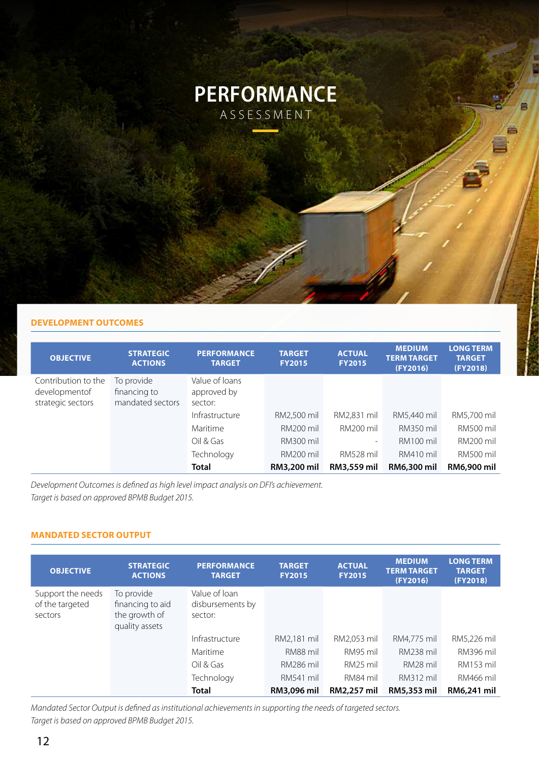

## **DEVELOPMENT OUTCOMES**

| <b>OBJECTIVE</b>                                          | <b>STRATEGIC</b><br><b>ACTIONS</b>             | <b>PERFORMANCE</b><br><b>TARGET</b>      | <b>TARGET</b><br><b>FY2015</b> | <b>ACTUAL</b><br><b>FY2015</b> | <b>MEDIUM</b><br><b>TERM TARGET</b><br>(FY2016) | <b>LONG TERM</b><br><b>TARGET</b><br>(FY2018) |
|-----------------------------------------------------------|------------------------------------------------|------------------------------------------|--------------------------------|--------------------------------|-------------------------------------------------|-----------------------------------------------|
| Contribution to the<br>developmentof<br>strategic sectors | To provide<br>financing to<br>mandated sectors | Value of loans<br>approved by<br>sector: |                                |                                |                                                 |                                               |
|                                                           |                                                | Infrastructure                           | RM2,500 mil                    | RM2,831 mil                    | RM5,440 mil                                     | RM5,700 mil                                   |
|                                                           |                                                | Maritime                                 | <b>RM200 mil</b>               | <b>RM200 mil</b>               | <b>RM350 mil</b>                                | <b>RM500 mil</b>                              |
|                                                           |                                                | Oil & Gas                                | <b>RM300 mil</b>               | $\overline{\phantom{a}}$       | RM100 mil                                       | RM200 mil                                     |
|                                                           |                                                | Technology                               | <b>RM200 mil</b>               | RM528 mil                      | RM410 mil                                       | <b>RM500 mil</b>                              |
|                                                           |                                                | <b>Total</b>                             | <b>RM3,200 mil</b>             | RM3,559 mil                    | RM6,300 mil                                     | RM6,900 mil                                   |

*Development Outcomes is defined as high level impact analysis on DFI's achievement. Target is based on approved BPMB Budget 2015.*

## **MANDATED SECTOR OUTPUT**

| <b>OBJECTIVE</b>                                | <b>STRATEGIC</b><br><b>ACTIONS</b>                                | <b>PERFORMANCE</b><br><b>TARGET</b>          | <b>TARGET</b><br><b>FY2015</b> | <b>ACTUAL</b><br><b>FY2015</b> | <b>MEDIUM</b><br><b>TERM TARGET</b><br>(FY2016) | <b>LONG TERM</b><br><b>TARGET</b><br>(FY2018) |
|-------------------------------------------------|-------------------------------------------------------------------|----------------------------------------------|--------------------------------|--------------------------------|-------------------------------------------------|-----------------------------------------------|
| Support the needs<br>of the targeted<br>sectors | To provide<br>financing to aid<br>the growth of<br>quality assets | Value of loan<br>disbursements by<br>sector: |                                |                                |                                                 |                                               |
|                                                 |                                                                   | Infrastructure                               | RM2,181 mil                    | RM2,053 mil                    | RM4.775 mil                                     | RM5,226 mil                                   |
|                                                 |                                                                   | Maritime                                     | RM88 mil                       | RM95 mil                       | <b>RM238 mil</b>                                | RM396 mil                                     |
|                                                 |                                                                   | Oil & Gas                                    | RM286 mil                      | RM25 mil                       | RM <sub>28</sub> mil                            | <b>RM153 mil</b>                              |
|                                                 |                                                                   | Technology                                   | <b>RM541 mil</b>               | RM84 mil                       | RM312 mil                                       | <b>RM466 mil</b>                              |
|                                                 |                                                                   | <b>Total</b>                                 | RM3,096 mil                    | <b>RM2.257 mil</b>             | RM5,353 mil                                     | RM6,241 mil                                   |

*Mandated Sector Output is defined as institutional achievements in supporting the needs of targeted sectors. Target is based on approved BPMB Budget 2015.*